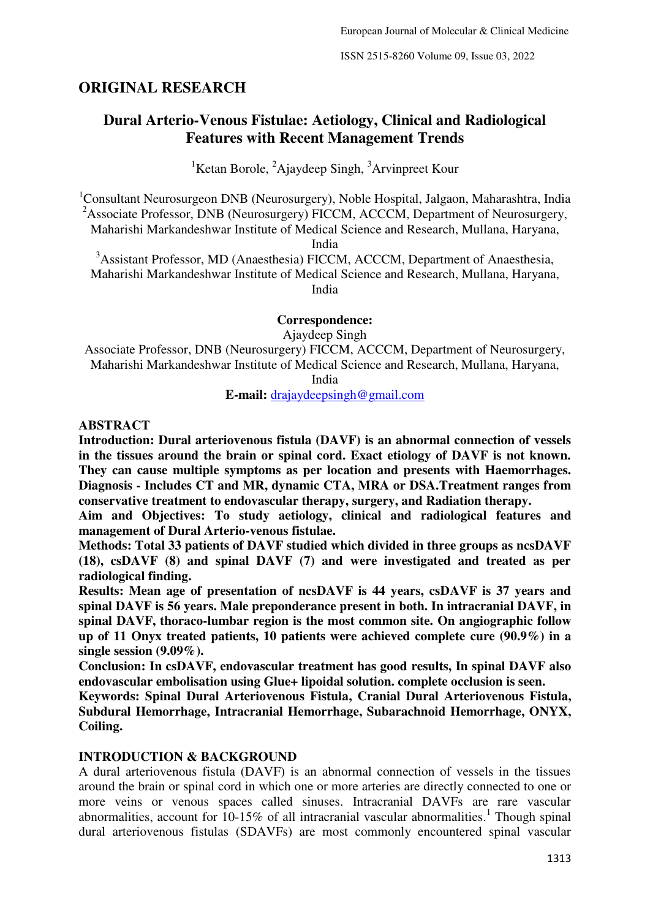### **ORIGINAL RESEARCH**

# **Dural Arterio-Venous Fistulae: Aetiology, Clinical and Radiological Features with Recent Management Trends**

<sup>1</sup>Ketan Borole,  ${}^{2}$ Ajaydeep Singh,  ${}^{3}$ Arvinpreet Kour

<sup>1</sup>Consultant Neurosurgeon DNB (Neurosurgery), Noble Hospital, Jalgaon, Maharashtra, India <sup>2</sup>Associate Professor, DNB (Neurosurgery) FICCM, ACCCM, Department of Neurosurgery, Maharishi Markandeshwar Institute of Medical Science and Research, Mullana, Haryana,

India

<sup>3</sup>Assistant Professor, MD (Anaesthesia) FICCM, ACCCM, Department of Anaesthesia, Maharishi Markandeshwar Institute of Medical Science and Research, Mullana, Haryana, India

**Correspondence:** 

Ajaydeep Singh

Associate Professor, DNB (Neurosurgery) FICCM, ACCCM, Department of Neurosurgery, Maharishi Markandeshwar Institute of Medical Science and Research, Mullana, Haryana,

India

**E-mail:** drajaydeepsingh@gmail.com

#### **ABSTRACT**

**Introduction: Dural arteriovenous fistula (DAVF) is an abnormal connection of vessels in the tissues around the brain or spinal cord. Exact etiology of DAVF is not known. They can cause multiple symptoms as per location and presents with Haemorrhages. Diagnosis - Includes CT and MR, dynamic CTA, MRA or DSA.Treatment ranges from conservative treatment to endovascular therapy, surgery, and Radiation therapy.** 

**Aim and Objectives: To study aetiology, clinical and radiological features and management of Dural Arterio-venous fistulae.** 

**Methods: Total 33 patients of DAVF studied which divided in three groups as ncsDAVF (18), csDAVF (8) and spinal DAVF (7) and were investigated and treated as per radiological finding.** 

**Results: Mean age of presentation of ncsDAVF is 44 years, csDAVF is 37 years and spinal DAVF is 56 years. Male preponderance present in both. In intracranial DAVF, in spinal DAVF, thoraco-lumbar region is the most common site. On angiographic follow up of 11 Onyx treated patients, 10 patients were achieved complete cure (90.9%) in a single session (9.09%).** 

**Conclusion: In csDAVF, endovascular treatment has good results, In spinal DAVF also endovascular embolisation using Glue+ lipoidal solution. complete occlusion is seen.** 

**Keywords: Spinal Dural Arteriovenous Fistula, Cranial Dural Arteriovenous Fistula, [Subdural Hemorrhage,](http://radiopaedia.org/articles/subdural-haemorrhage) [Intracranial Hemorrhage,](http://radiopaedia.org/articles/intracranial-haemorrhage) [Subarachnoid Hemorrhage,](http://radiopaedia.org/articles/sah) ONYX, Coiling.** 

#### **INTRODUCTION & BACKGROUND**

A dural arteriovenous fistula (DAVF) is an abnormal connection of vessels in the tissues around the brain or spinal cord in which one or more arteries are directly connected to one or more veins or venous spaces called sinuses. Intracranial DAVFs are rare vascular abnormalities, account for  $10-15\%$  of all intracranial vascular abnormalities.<sup>1</sup> Though spinal dural arteriovenous fistulas (SDAVFs) are most commonly encountered spinal vascular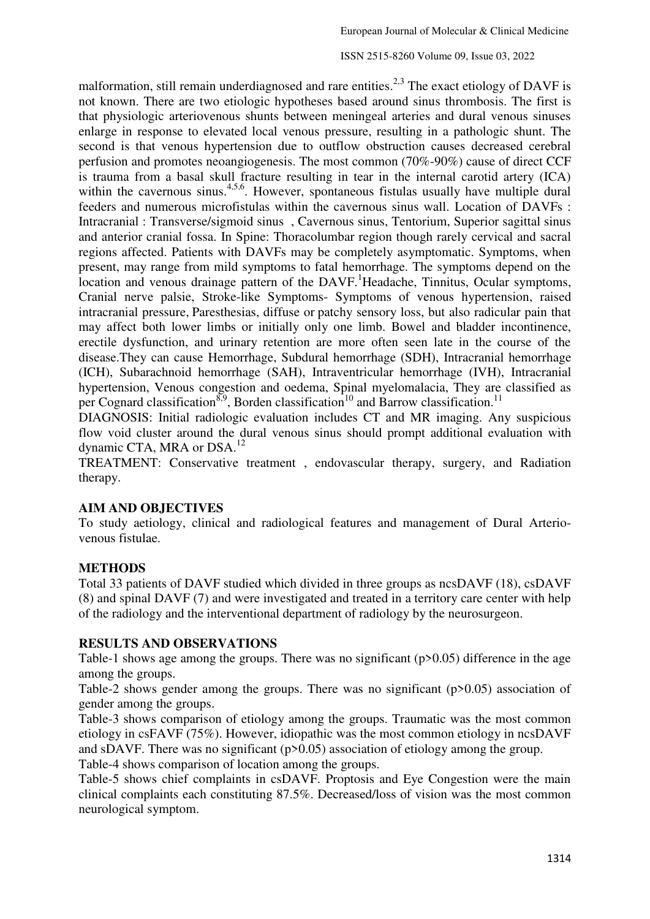malformation, still remain underdiagnosed and rare entities.<sup>2,3</sup> The exact etiology of DAVF is not known. There are two etiologic hypotheses based around sinus thrombosis. The first is that physiologic arteriovenous shunts between meningeal arteries and dural venous sinuses enlarge in response to elevated local venous pressure, resulting in a pathologic shunt. The second is that venous hypertension due to outflow obstruction causes decreased cerebral perfusion and promotes neoangiogenesis. The most common (70%-90%) cause of direct CCF is trauma from a basal skull fracture resulting in tear in the internal carotid artery (ICA) within the cavernous sinus.<sup>4,5,6</sup>. However, spontaneous fistulas usually have multiple dural feeders and numerous microfistulas within the cavernous sinus wall. Location of DAVFs : Intracranial : [Transverse](http://radiopaedia.org/articles/transverse-sinus)[/sigmoid sinus](http://radiopaedia.org/articles/sigmoid-sinus) , [Cavernous sinus,](http://radiopaedia.org/articles/cavernous-sinus) [Tentorium,](http://radiopaedia.org/articles/tentorium-cerebelli) [Superior sagittal sinus](http://radiopaedia.org/articles/superior-sagittal-sinus)  and [anterior cranial fossa.](http://radiopaedia.org/articles/anterior-cranial-fossa) In Spine: Thoracolumbar region though rarely cervical and sacral regions affected. Patients with DAVFs may be completely asymptomatic. Symptoms, when present, may range from mild symptoms to fatal hemorrhage. The symptoms depend on the location and venous drainage pattern of the  $DAVF$ . Headache, Tinnitus, Ocular symptoms, Cranial nerve palsie, Stroke-like Symptoms- Symptoms of venous hypertension, raised intracranial pressure, Paresthesias, diffuse or patchy sensory loss, but also radicular pain that may affect both lower limbs or initially only one limb. Bowel and bladder incontinence, erectile dysfunction, and urinary retention are more often seen late in the course of the disease.They can cause Hemorrhage, [Subdural hemorrhage](http://radiopaedia.org/articles/subdural-haemorrhage) (SDH), [Intracranial hemorrhage](http://radiopaedia.org/articles/intracranial-haemorrhage)  (ICH), [Subarachnoid hemorrhage](http://radiopaedia.org/articles/sah) (SAH), Intraventricular hemorrhage (IVH), [Intracranial](http://radiopaedia.org/articles/missing?article%5Btitle%5D=intracranial-hypertension)  [hypertension,](http://radiopaedia.org/articles/missing?article%5Btitle%5D=intracranial-hypertension) Venous congestion and oedema, [Spinal myelomalacia,](http://radiopaedia.org/articles/missing?article%5Btitle%5D=spinal-myelomalacia) They are classified as per Cognard classification<sup>8,9</sup>, Borden classification<sup>10</sup> and Barrow classification.<sup>11</sup>

DIAGNOSIS: Initial radiologic evaluation includes CT and MR imaging. Any suspicious flow void cluster around the dural venous sinus should prompt additional evaluation with dynamic CTA, MRA or DSA.<sup>12</sup>

TREATMENT: Conservative treatment , endovascular therapy, surgery, and Radiation therapy.

### **AIM AND OBJECTIVES**

To study aetiology, clinical and radiological features and management of Dural Arteriovenous fistulae.

### **METHODS**

Total 33 patients of DAVF studied which divided in three groups as ncsDAVF (18), csDAVF (8) and spinal DAVF (7) and were investigated and treated in a territory care center with help of the radiology and the interventional department of radiology by the neurosurgeon.

### **RESULTS AND OBSERVATIONS**

Table-1 shows age among the groups. There was no significant (p>0.05) difference in the age among the groups.

Table-2 shows gender among the groups. There was no significant (p>0.05) association of gender among the groups.

Table-3 shows comparison of etiology among the groups. Traumatic was the most common etiology in csFAVF (75%). However, idiopathic was the most common etiology in ncsDAVF and sDAVF. There was no significant (p>0.05) association of etiology among the group.

Table-4 shows comparison of location among the groups.

Table-5 shows chief complaints in csDAVF. Proptosis and Eye Congestion were the main clinical complaints each constituting 87.5%. Decreased/loss of vision was the most common neurological symptom.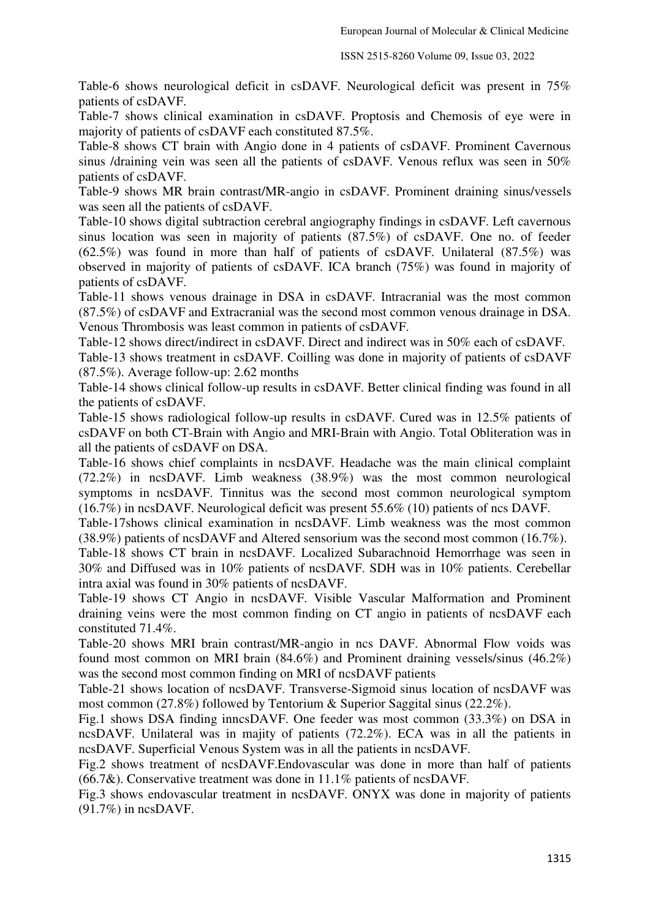Table-6 shows neurological deficit in csDAVF. Neurological deficit was present in 75% patients of csDAVF.

Table-7 shows clinical examination in csDAVF. Proptosis and Chemosis of eye were in majority of patients of csDAVF each constituted 87.5%.

Table-8 shows CT brain with Angio done in 4 patients of csDAVF. Prominent Cavernous sinus /draining vein was seen all the patients of csDAVF. Venous reflux was seen in 50% patients of csDAVF.

Table-9 shows MR brain contrast/MR-angio in csDAVF. Prominent draining sinus/vessels was seen all the patients of csDAVF.

Table-10 shows digital subtraction cerebral angiography findings in csDAVF. Left cavernous sinus location was seen in majority of patients (87.5%) of csDAVF. One no. of feeder (62.5%) was found in more than half of patients of csDAVF. Unilateral (87.5%) was observed in majority of patients of csDAVF. ICA branch (75%) was found in majority of patients of csDAVF.

Table-11 shows venous drainage in DSA in csDAVF. Intracranial was the most common (87.5%) of csDAVF and Extracranial was the second most common venous drainage in DSA. Venous Thrombosis was least common in patients of csDAVF.

Table-12 shows direct/indirect in csDAVF. Direct and indirect was in 50% each of csDAVF.

Table-13 shows treatment in csDAVF. Coilling was done in majority of patients of csDAVF (87.5%). Average follow-up: 2.62 months

Table-14 shows clinical follow-up results in csDAVF. Better clinical finding was found in all the patients of csDAVF.

Table-15 shows radiological follow-up results in csDAVF. Cured was in 12.5% patients of csDAVF on both CT-Brain with Angio and MRI-Brain with Angio. Total Obliteration was in all the patients of csDAVF on DSA.

Table-16 shows chief complaints in ncsDAVF. Headache was the main clinical complaint (72.2%) in ncsDAVF. Limb weakness (38.9%) was the most common neurological symptoms in ncsDAVF. Tinnitus was the second most common neurological symptom (16.7%) in ncsDAVF. Neurological deficit was present 55.6% (10) patients of ncs DAVF.

Table-17shows clinical examination in ncsDAVF. Limb weakness was the most common (38.9%) patients of ncsDAVF and Altered sensorium was the second most common (16.7%).

Table-18 shows CT brain in ncsDAVF. Localized Subarachnoid Hemorrhage was seen in 30% and Diffused was in 10% patients of ncsDAVF. SDH was in 10% patients. Cerebellar intra axial was found in 30% patients of ncsDAVF.

Table-19 shows CT Angio in ncsDAVF. Visible Vascular Malformation and Prominent draining veins were the most common finding on CT angio in patients of ncsDAVF each constituted 71.4%.

Table-20 shows MRI brain contrast/MR-angio in ncs DAVF. Abnormal Flow voids was found most common on MRI brain (84.6%) and Prominent draining vessels/sinus (46.2%) was the second most common finding on MRI of ncsDAVF patients

Table-21 shows location of ncsDAVF. Transverse-Sigmoid sinus location of ncsDAVF was most common (27.8%) followed by Tentorium & Superior Saggital sinus (22.2%).

Fig.1 shows DSA finding inncsDAVF. One feeder was most common (33.3%) on DSA in ncsDAVF. Unilateral was in majity of patients (72.2%). ECA was in all the patients in ncsDAVF. Superficial Venous System was in all the patients in ncsDAVF.

Fig.2 shows treatment of ncsDAVF.Endovascular was done in more than half of patients (66.7&). Conservative treatment was done in 11.1% patients of ncsDAVF.

Fig.3 shows endovascular treatment in ncsDAVF. ONYX was done in majority of patients (91.7%) in ncsDAVF.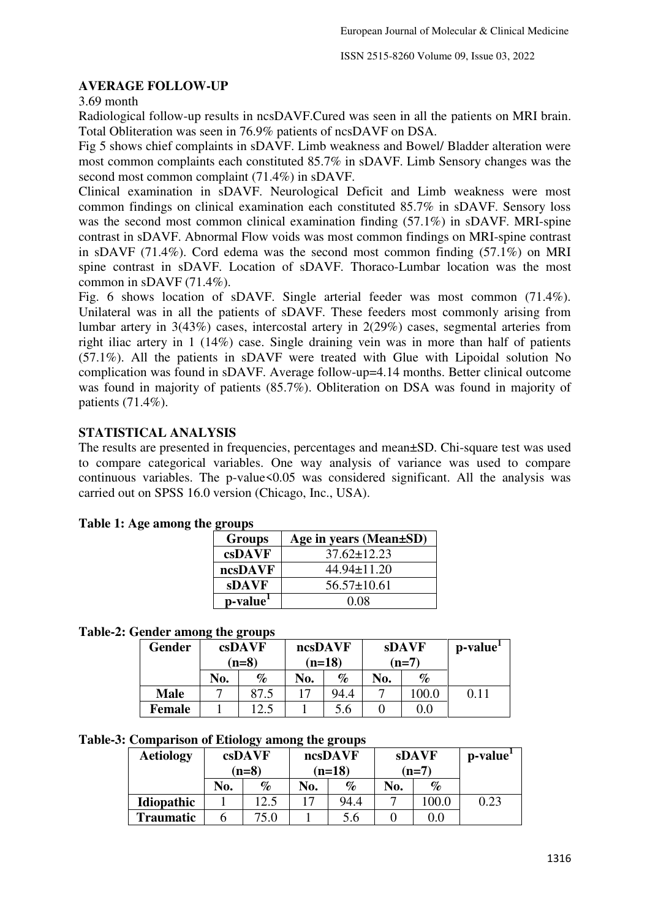### **AVERAGE FOLLOW-UP**

3.69 month

Radiological follow-up results in ncsDAVF.Cured was seen in all the patients on MRI brain. Total Obliteration was seen in 76.9% patients of ncsDAVF on DSA.

Fig 5 shows chief complaints in sDAVF. Limb weakness and Bowel/ Bladder alteration were most common complaints each constituted 85.7% in sDAVF. Limb Sensory changes was the second most common complaint (71.4%) in sDAVF.

Clinical examination in sDAVF. Neurological Deficit and Limb weakness were most common findings on clinical examination each constituted 85.7% in sDAVF. Sensory loss was the second most common clinical examination finding (57.1%) in sDAVF. MRI-spine contrast in sDAVF. Abnormal Flow voids was most common findings on MRI-spine contrast in sDAVF (71.4%). Cord edema was the second most common finding (57.1%) on MRI spine contrast in sDAVF. Location of sDAVF. Thoraco-Lumbar location was the most common in sDAVF (71.4%).

Fig. 6 shows location of sDAVF. Single arterial feeder was most common (71.4%). Unilateral was in all the patients of sDAVF. These feeders most commonly arising from lumbar artery in 3(43%) cases, intercostal artery in 2(29%) cases, segmental arteries from right iliac artery in 1 (14%) case. Single draining vein was in more than half of patients (57.1%). All the patients in sDAVF were treated with Glue with Lipoidal solution No complication was found in sDAVF. Average follow-up=4.14 months. Better clinical outcome was found in majority of patients (85.7%). Obliteration on DSA was found in majority of patients (71.4%).

### **STATISTICAL ANALYSIS**

The results are presented in frequencies, percentages and mean±SD. Chi-square test was used to compare categorical variables. One way analysis of variance was used to compare continuous variables. The p-value $<0.05$  was considered significant. All the analysis was carried out on SPSS 16.0 version (Chicago, Inc., USA).

| <b>Groups</b>        | Age in years (Mean±SD) |
|----------------------|------------------------|
| csDAVF               | $37.62 \pm 12.23$      |
| ncsDAVF              | 44.94±11.20            |
| <b>sDAVF</b>         | $56.57 \pm 10.61$      |
| p-value <sup>1</sup> | 0.08                   |

### **Table 1: Age among the groups**

#### **Table-2: Gender among the groups**

| <b>Gender</b> |     | csDAVF<br>$(n=8)$ | ncsDAVF<br>$(n=18)$ |      | <b>sDAVF</b><br>$(n=7)$ |         | p-value <sup>1</sup> |
|---------------|-----|-------------------|---------------------|------|-------------------------|---------|----------------------|
|               | No. | $\%$              | No.                 | $\%$ | No.                     | $\%$    |                      |
| <b>Male</b>   |     | 87.5              |                     | 94.4 |                         | 100.0   | 0.11                 |
| Female        |     | 1つ 5              |                     | 5.6  |                         | $0.0\,$ |                      |

#### **Table-3: Comparison of Etiology among the groups**

| <b>Aetiology</b>  |     | csDAVF<br>$(n=8)$ |     | ncsDAVF<br>$(n=18)$ |     | <b>sDAVF</b><br>$(n=7)$ | p-value <sup>1</sup> |
|-------------------|-----|-------------------|-----|---------------------|-----|-------------------------|----------------------|
|                   | No. | $\%$              | No. | %                   | No. | $\%$                    |                      |
| <b>Idiopathic</b> |     | 12.5              |     | 94.4                |     | 100.0                   | 0.23                 |
| <b>Traumatic</b>  |     | 75.0              |     | 5.6                 |     | $0.0\,$                 |                      |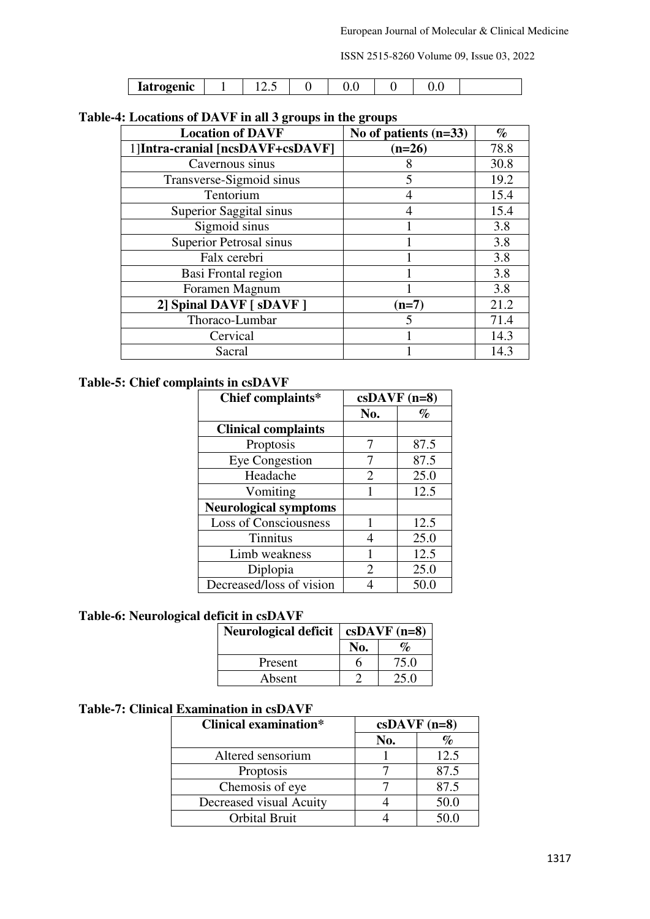| <b>Latrogenic</b> | $\cdots$ | ◡.◡ | ◡. |  |
|-------------------|----------|-----|----|--|

## **Table-4: Locations of DAVF in all 3 groups in the groups**

| <b>Location of DAVF</b>          | No of patients $(n=33)$ | $\%$ |
|----------------------------------|-------------------------|------|
| 1]Intra-cranial [ncsDAVF+csDAVF] | $(n=26)$                | 78.8 |
| Cavernous sinus                  |                         | 30.8 |
| Transverse-Sigmoid sinus         |                         | 19.2 |
| Tentorium                        |                         | 15.4 |
| Superior Saggital sinus          |                         | 15.4 |
| Sigmoid sinus                    |                         | 3.8  |
| Superior Petrosal sinus          |                         | 3.8  |
| Falx cerebri                     |                         | 3.8  |
| Basi Frontal region              |                         | 3.8  |
| Foramen Magnum                   |                         | 3.8  |
| 2] Spinal DAVF [ sDAVF ]         | $(n=7)$                 | 21.2 |
| Thoraco-Lumbar                   |                         | 71.4 |
| Cervical                         |                         | 14.3 |
| Sacral                           |                         | 14.3 |

# **Table-5: Chief complaints in csDAVF**

| Chief complaints*            | $csDAVF (n=8)$        |                             |
|------------------------------|-----------------------|-----------------------------|
|                              | No.                   | $\mathcal{O}_{\mathcal{O}}$ |
| <b>Clinical complaints</b>   |                       |                             |
| Proptosis                    | 7                     | 87.5                        |
| <b>Eye Congestion</b>        |                       | 87.5                        |
| Headache                     | $\mathcal{D}_{\cdot}$ | 25.0                        |
| Vomiting                     | 1                     | 12.5                        |
| <b>Neurological symptoms</b> |                       |                             |
| <b>Loss of Consciousness</b> | 1                     | 12.5                        |
| <b>Tinnitus</b>              | 4                     | 25.0                        |
| Limb weakness                | 1                     | 12.5                        |
| Diplopia                     | $\mathcal{D}_{\cdot}$ | 25.0                        |
| Decreased/loss of vision     |                       | 50.0                        |

## **Table-6: Neurological deficit in csDAVF**

| <b>Neurological deficit</b> | $csDAVF (n=8)$ |                              |  |
|-----------------------------|----------------|------------------------------|--|
|                             | No.            | $\mathcal{O}'_{\mathcal{D}}$ |  |
| Present                     | n              | 75.0                         |  |
| Absent                      |                | 25.0                         |  |

### **Table-7: Clinical Examination in csDAVF**

| <b>Clinical examination*</b> | $csDAVF$ (n=8) |      |
|------------------------------|----------------|------|
|                              | No.            |      |
| Altered sensorium            |                | 12.5 |
| Proptosis                    |                | 87.5 |
| Chemosis of eye              |                | 87.5 |
| Decreased visual Acuity      |                | 50.0 |
| <b>Orbital Bruit</b>         |                | 50 O |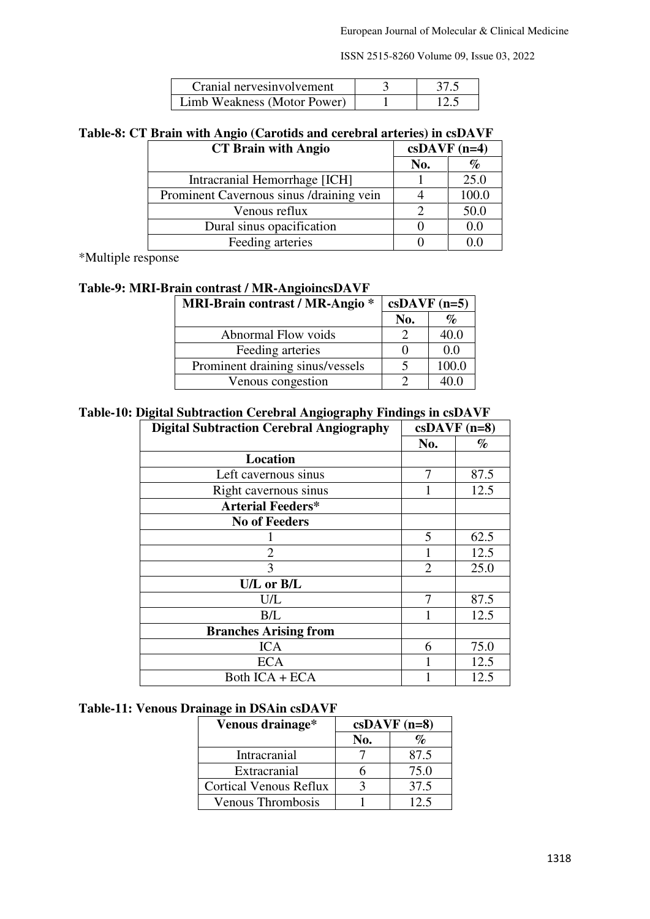| Cranial nerves involvement  | 37.5 |
|-----------------------------|------|
| Limb Weakness (Motor Power) | 12.5 |

# **Table-8: CT Brain with Angio (Carotids and cerebral arteries) in csDAVF**

| <b>CT Brain with Angio</b>               | $csDAVF$ (n=4) |         |
|------------------------------------------|----------------|---------|
|                                          | No.            | %       |
| Intracranial Hemorrhage [ICH]            |                | 25.0    |
| Prominent Cavernous sinus /draining vein |                | 100.0   |
| Venous reflux                            |                | 50.0    |
| Dural sinus opacification                |                | $0.0\,$ |
| Feeding arteries                         |                |         |

\*Multiple response

### **Table-9: MRI-Brain contrast / MR-AngioincsDAVF**

| <b>MRI-Brain contrast / MR-Angio *</b> | $csDAVF (n=5)$ |       |
|----------------------------------------|----------------|-------|
|                                        | No.            | $\%$  |
| Abnormal Flow voids                    |                | 40.0  |
| Feeding arteries                       |                | 0.0   |
| Prominent draining sinus/vessels       |                | 100.0 |
| Venous congestion                      |                | 40.0  |

#### **Table-10: Digital Subtraction Cerebral Angiography Findings in csDAVF**

| o                                               | o              |                |
|-------------------------------------------------|----------------|----------------|
| <b>Digital Subtraction Cerebral Angiography</b> |                | $csDAVF$ (n=8) |
|                                                 | No.            | $\%$           |
| Location                                        |                |                |
| Left cavernous sinus                            | 7              | 87.5           |
| Right cavernous sinus                           | 1              | 12.5           |
| <b>Arterial Feeders*</b>                        |                |                |
| <b>No of Feeders</b>                            |                |                |
|                                                 | 5              | 62.5           |
| $\overline{2}$                                  |                | 12.5           |
| 3                                               | $\overline{2}$ | 25.0           |
| U/L or B/L                                      |                |                |
| U/L                                             | 7              | 87.5           |
| B/L                                             |                | 12.5           |
| <b>Branches Arising from</b>                    |                |                |
| <b>ICA</b>                                      | 6              | 75.0           |
| <b>ECA</b>                                      | 1              | 12.5           |
| Both $ICA + ECA$                                |                | 12.5           |

#### **Table-11: Venous Drainage in DSAin csDAVF**

| Venous drainage*              | $csDAVF$ (n=8) |      |
|-------------------------------|----------------|------|
|                               | No.            | $\%$ |
| Intracranial                  |                | 87.5 |
| Extracranial                  |                | 75.0 |
| <b>Cortical Venous Reflux</b> |                | 37.5 |
| <b>Venous Thrombosis</b>      |                | 12.5 |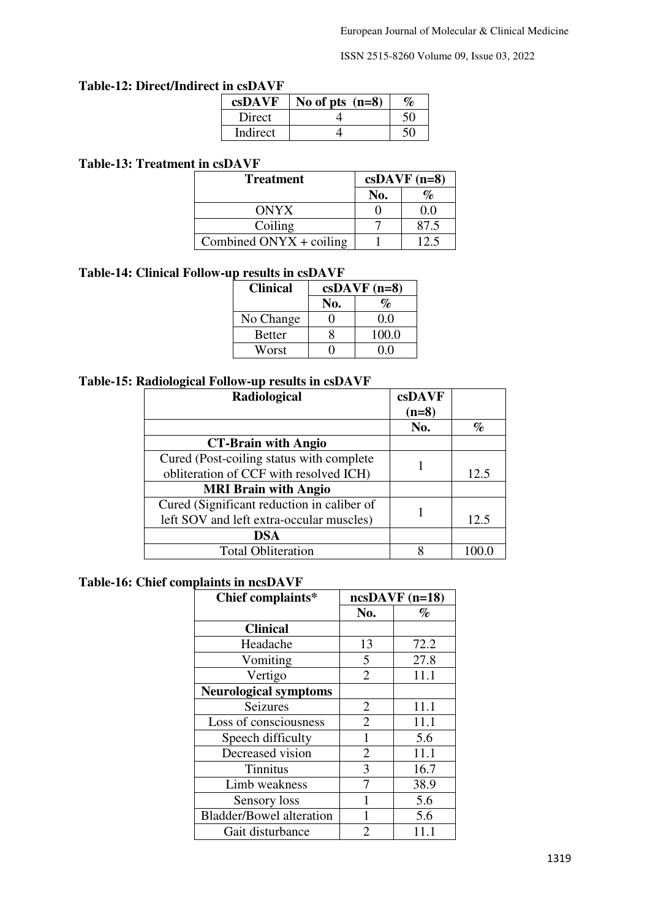#### **Table-12: Direct/Indirect in csDAVF**

| csDAVF   | No of pts $(n=8)$ |  |
|----------|-------------------|--|
| Direct   |                   |  |
| Indirect |                   |  |

### **Table-13: Treatment in csDAVF**

| <b>Treatment</b>                 | $csDAVF$ (n=8) |      |
|----------------------------------|----------------|------|
|                                  | No.            |      |
| <b>ONYX</b>                      |                | 00   |
| Coiling                          |                | 87.5 |
| Combined $ONYX + \text{coiling}$ |                |      |

# **Table-14: Clinical Follow-up results in csDAVF**

| <b>Clinical</b> | $csDAVF (n=8)$ |       |  |
|-----------------|----------------|-------|--|
|                 | No.            | $\%$  |  |
| No Change       |                | 0.0   |  |
| <b>Better</b>   | x              | 100.0 |  |
| Worst           |                | () () |  |

## **Table-15: Radiological Follow-up results in csDAVF**

| Radiological                               | csDAVF  |      |
|--------------------------------------------|---------|------|
|                                            | $(n=8)$ |      |
|                                            | No.     | %    |
| <b>CT-Brain with Angio</b>                 |         |      |
| Cured (Post-coiling status with complete)  |         |      |
| obliteration of CCF with resolved ICH)     |         | 12.5 |
| <b>MRI Brain with Angio</b>                |         |      |
| Cured (Significant reduction in caliber of |         |      |
| left SOV and left extra-occular muscles)   |         | 12.5 |
| <b>DSA</b>                                 |         |      |
| <b>Total Obliteration</b>                  |         |      |

## **Table-16: Chief complaints in ncsDAVF**

| Chief complaints*               | $ncsDAVF (n=18)$ |      |
|---------------------------------|------------------|------|
|                                 | No.              | $\%$ |
| <b>Clinical</b>                 |                  |      |
| Headache                        | 13               | 72.2 |
| Vomiting                        | 5                | 27.8 |
| Vertigo                         | $\overline{2}$   | 11.1 |
| <b>Neurological symptoms</b>    |                  |      |
| <b>Seizures</b>                 | 2                | 11.1 |
| Loss of consciousness           | $\overline{2}$   | 11.1 |
| Speech difficulty               | 1                | 5.6  |
| Decreased vision                | 2                | 11.1 |
| <b>Tinnitus</b>                 | 3                | 16.7 |
| Limb weakness                   | 7                | 38.9 |
| Sensory loss                    |                  | 5.6  |
| <b>Bladder/Bowel alteration</b> |                  | 5.6  |
| Gait disturbance                | っ                | 11.1 |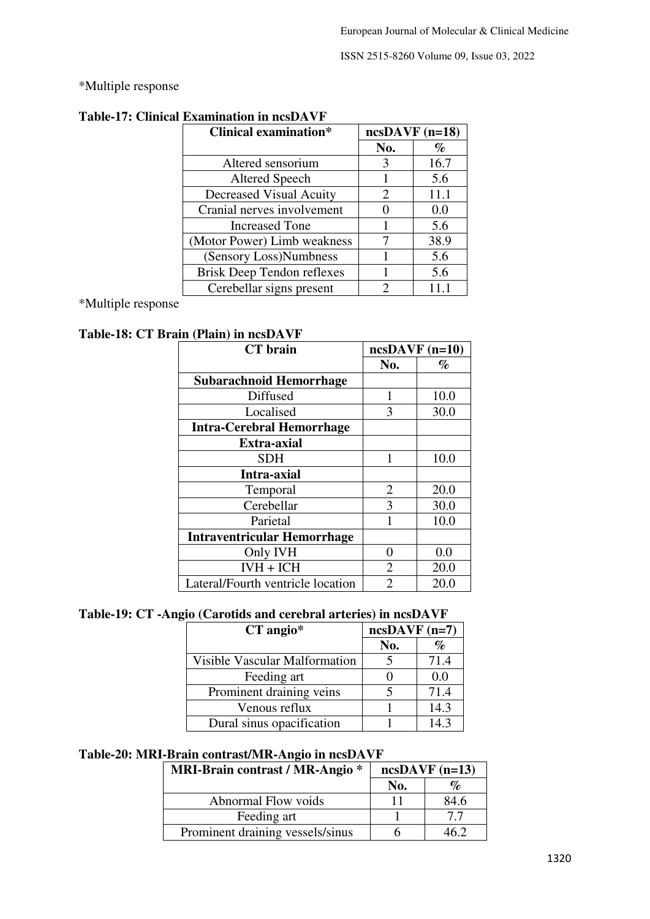\*Multiple response

| <b>Clinical examination*</b>      | $ncsDAVF (n=18)$      |      |
|-----------------------------------|-----------------------|------|
|                                   | No.                   | $\%$ |
| Altered sensorium                 | 3                     | 16.7 |
| Altered Speech                    |                       | 5.6  |
| Decreased Visual Acuity           | $\mathcal{D}_{\cdot}$ | 11.1 |
| Cranial nerves involvement        |                       | 0.0  |
| <b>Increased Tone</b>             |                       | 5.6  |
| (Motor Power) Limb weakness       |                       | 38.9 |
| (Sensory Loss)Numbness            |                       | 5.6  |
| <b>Brisk Deep Tendon reflexes</b> |                       | 5.6  |
| Cerebellar signs present          |                       | 11.1 |

# **Table-17: Clinical Examination in ncsDAVF**

\*Multiple response

## **Table-18: CT Brain (Plain) in ncsDAVF**

| <b>CT</b> brain                    | $ncsDAVF (n=10)$ |      |
|------------------------------------|------------------|------|
|                                    | No.              | $\%$ |
| <b>Subarachnoid Hemorrhage</b>     |                  |      |
| Diffused                           |                  | 10.0 |
| Localised                          | 3                | 30.0 |
| <b>Intra-Cerebral Hemorrhage</b>   |                  |      |
| <b>Extra-axial</b>                 |                  |      |
| <b>SDH</b>                         | 1                | 10.0 |
| Intra-axial                        |                  |      |
| Temporal                           | $\overline{2}$   | 20.0 |
| Cerebellar                         | 3                | 30.0 |
| Parietal                           |                  | 10.0 |
| <b>Intraventricular Hemorrhage</b> |                  |      |
| Only IVH                           | 0                | 0.0  |
| $IWH + ICH$                        | $\overline{2}$   | 20.0 |
| Lateral/Fourth ventricle location  | $\overline{2}$   | 20.0 |

## **Table-19: CT -Angio (Carotids and cerebral arteries) in ncsDAVF**

| $CT$ angio*                   | $ncsDAVF (n=7)$ |      |
|-------------------------------|-----------------|------|
|                               | No.             | $\%$ |
| Visible Vascular Malformation |                 | 71.4 |
| Feeding art                   |                 | 0.0  |
| Prominent draining veins      |                 | 71.4 |
| Venous reflux                 |                 | 14.3 |
| Dural sinus opacification     |                 | 14.3 |

### **Table-20: MRI-Brain contrast/MR-Angio in ncsDAVF**

| <b>MRI-Brain contrast / MR-Angio *</b> | $ncsDAVF (n=13)$ |      |
|----------------------------------------|------------------|------|
|                                        | No.              | $\%$ |
| Abnormal Flow voids                    | 11               | 84.6 |
| Feeding art                            |                  | 77   |
| Prominent draining vessels/sinus       |                  | 46 J |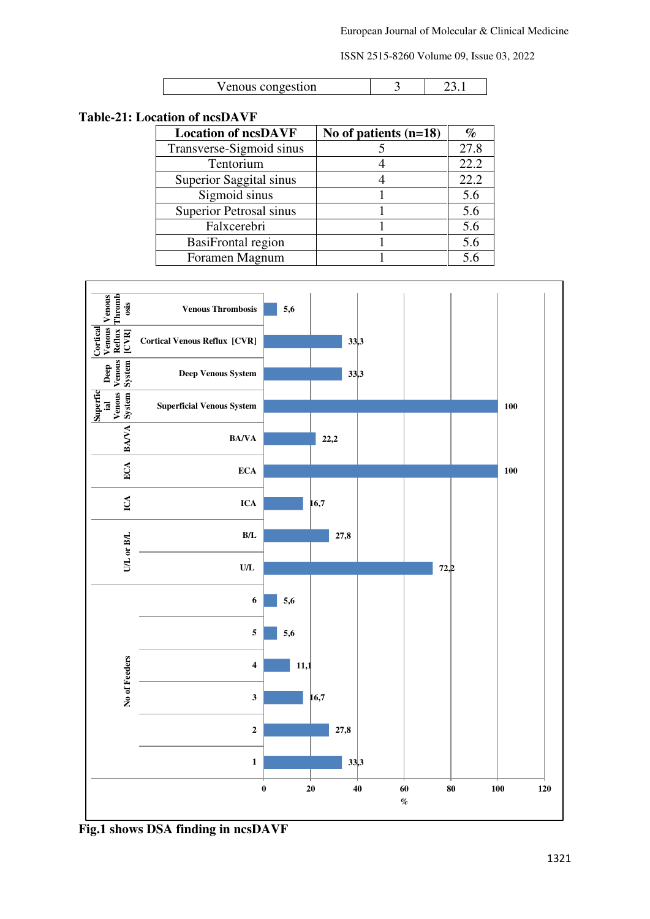| Venous congestion |  |  |
|-------------------|--|--|
|-------------------|--|--|

## **Table-21: Location of ncsDAVF**

| <b>Location of ncsDAVF</b> | No of patients $(n=18)$ | $\%$ |
|----------------------------|-------------------------|------|
| Transverse-Sigmoid sinus   |                         | 27.8 |
| Tentorium                  |                         | 22.2 |
| Superior Saggital sinus    |                         | 22.2 |
| Sigmoid sinus              |                         | 5.6  |
| Superior Petrosal sinus    |                         | 5.6  |
| Falxcerebri                |                         | 5.6  |
| <b>BasiFrontal region</b>  |                         | 5.6  |
| Foramen Magnum             |                         | 5.6  |



**Fig.1 shows DSA finding in ncsDAVF**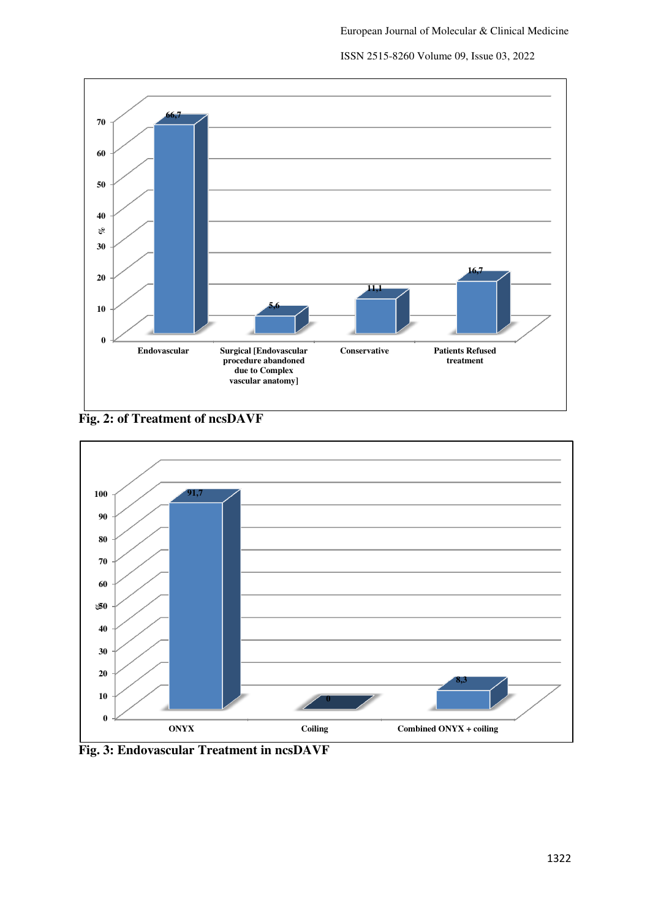

**Fig. 2: of Treatment of ncsDAVF**



**Fig. 3: Endovascular Treatment in ncsDAVF**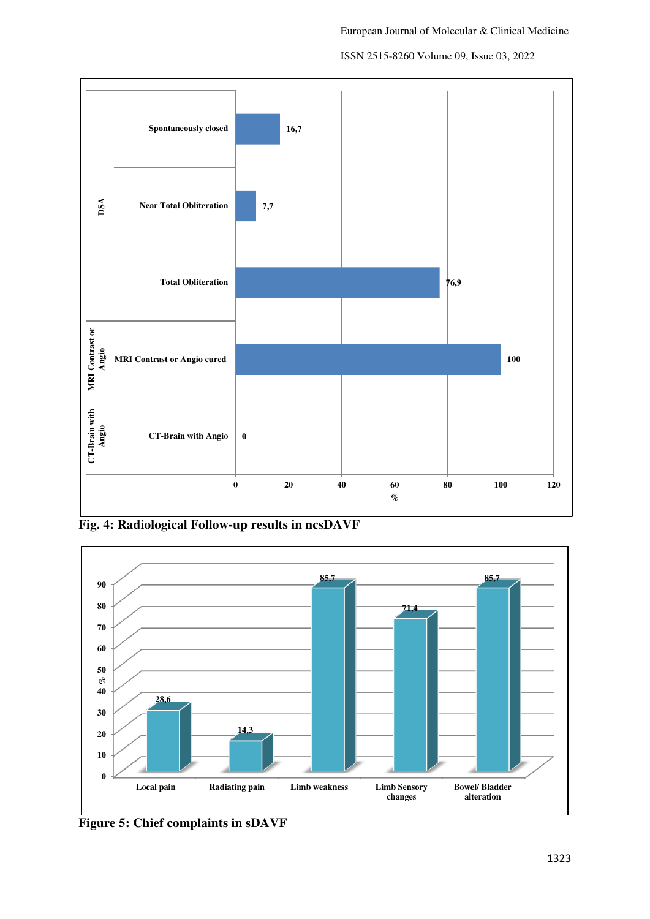



**Fig. 4: Radiological Follow-up results in ncsDAVF** 



**Figure 5: Chief complaints in sDAVF**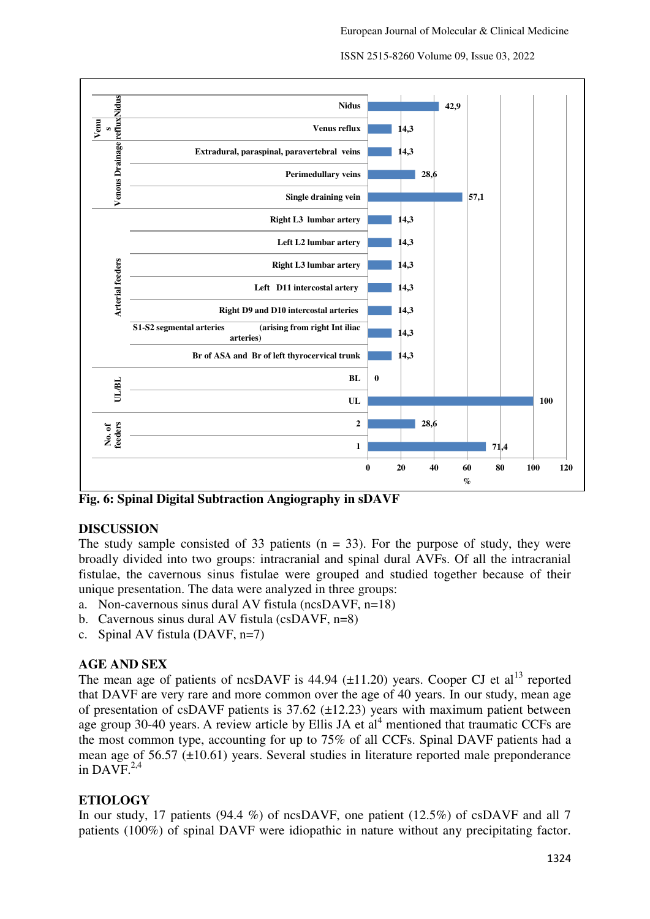



**Fig. 6: Spinal Digital Subtraction Angiography in sDAVF**

### **DISCUSSION**

The study sample consisted of 33 patients ( $n = 33$ ). For the purpose of study, they were broadly divided into two groups: intracranial and spinal dural AVFs. Of all the intracranial fistulae, the cavernous sinus fistulae were grouped and studied together because of their unique presentation. The data were analyzed in three groups:

- a. Non-cavernous sinus dural AV fistula (ncsDAVF, n=18)
- b. Cavernous sinus dural AV fistula (csDAVF, n=8)
- c. Spinal AV fistula (DAVF, n=7)

### **AGE AND SEX**

The mean age of patients of ncsDAVF is  $44.94$  ( $\pm$ 11.20) years. Cooper CJ et al<sup>13</sup> reported that DAVF are very rare and more common over the age of 40 years. In our study, mean age of presentation of csDAVF patients is  $37.62$  ( $\pm$ 12.23) years with maximum patient between age group 30-40 years. A review article by Ellis JA et  $al<sup>4</sup>$  mentioned that traumatic CCFs are the most common type, accounting for up to 75% of all CCFs. Spinal DAVF patients had a mean age of 56.57 (±10.61) years. Several studies in literature reported male preponderance in DAVF. $^{2,4}$ 

## **ETIOLOGY**

In our study, 17 patients (94.4 %) of ncsDAVF, one patient (12.5%) of csDAVF and all 7 patients (100%) of spinal DAVF were idiopathic in nature without any precipitating factor.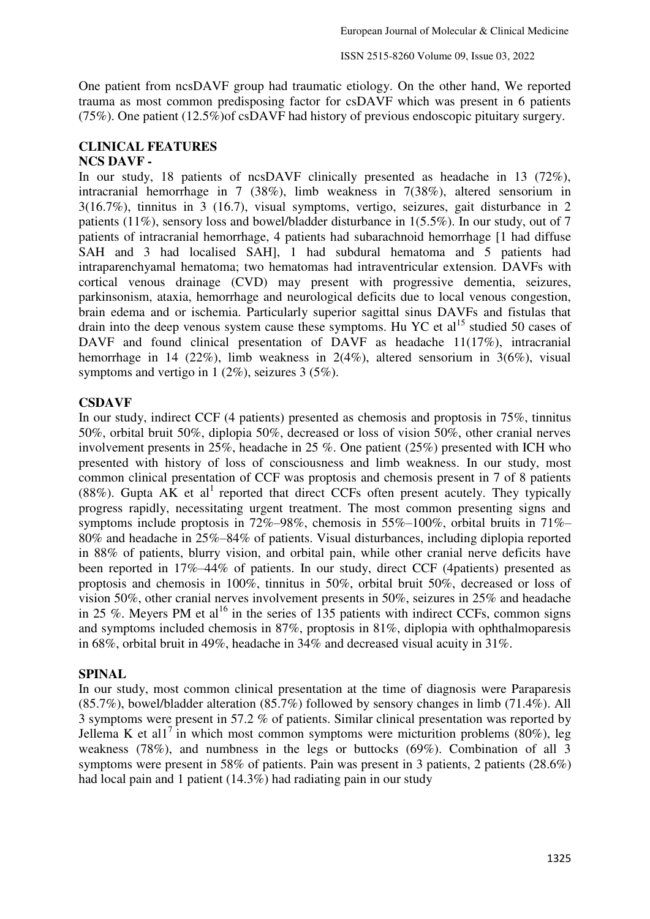One patient from ncsDAVF group had traumatic etiology. On the other hand, We reported trauma as most common predisposing factor for csDAVF which was present in 6 patients (75%). One patient (12.5%)of csDAVF had history of previous endoscopic pituitary surgery.

### **CLINICAL FEATURES NCS DAVF -**

In our study, 18 patients of ncsDAVF clinically presented as headache in 13 (72%), intracranial hemorrhage in 7 (38%), limb weakness in 7(38%), altered sensorium in 3(16.7%), tinnitus in 3 (16.7), visual symptoms, vertigo, seizures, gait disturbance in 2 patients (11%), sensory loss and bowel/bladder disturbance in 1(5.5%). In our study, out of 7 patients of intracranial hemorrhage, 4 patients had subarachnoid hemorrhage [1 had diffuse SAH and 3 had localised SAH], 1 had subdural hematoma and 5 patients had intraparenchyamal hematoma; two hematomas had intraventricular extension. DAVFs with cortical venous drainage (CVD) may present with progressive dementia, seizures, parkinsonism, ataxia, hemorrhage and neurological deficits due to local venous congestion, brain edema and or ischemia. Particularly superior sagittal sinus DAVFs and fistulas that drain into the deep venous system cause these symptoms. Hu YC et al<sup>15</sup> studied 50 cases of DAVF and found clinical presentation of DAVF as headache 11(17%), intracranial hemorrhage in 14 (22%), limb weakness in 2(4%), altered sensorium in 3(6%), visual symptoms and vertigo in 1 (2%), seizures 3 (5%).

## **CSDAVF**

In our study, indirect CCF (4 patients) presented as chemosis and proptosis in 75%, tinnitus 50%, orbital bruit 50%, diplopia 50%, decreased or loss of vision 50%, other cranial nerves involvement presents in 25%, headache in 25 %. One patient (25%) presented with ICH who presented with history of loss of consciousness and limb weakness. In our study, most common clinical presentation of CCF was proptosis and chemosis present in 7 of 8 patients (88%). Gupta AK et al<sup>1</sup> reported that direct CCFs often present acutely. They typically progress rapidly, necessitating urgent treatment. The most common presenting signs and symptoms include proptosis in 72%–98%, chemosis in 55%–100%, orbital bruits in 71%– 80% and headache in 25%–84% of patients. Visual disturbances, including diplopia reported in 88% of patients, blurry vision, and orbital pain, while other cranial nerve deficits have been reported in 17%–44% of patients. In our study, direct CCF (4patients) presented as proptosis and chemosis in 100%, tinnitus in 50%, orbital bruit 50%, decreased or loss of vision 50%, other cranial nerves involvement presents in 50%, seizures in 25% and headache in 25 %. Meyers PM et al<sup>16</sup> in the series of 135 patients with indirect CCFs, common signs and symptoms included chemosis in 87%, proptosis in 81%, diplopia with ophthalmoparesis in 68%, orbital bruit in 49%, headache in 34% and decreased visual acuity in 31%.

# **SPINAL**

In our study, most common clinical presentation at the time of diagnosis were Paraparesis (85.7%), bowel/bladder alteration (85.7%) followed by sensory changes in limb (71.4%). All 3 symptoms were present in 57.2 % of patients. Similar clinical presentation was reported by Jellema K et all<sup>7</sup> in which most common symptoms were micturition problems (80%), leg weakness (78%), and numbness in the legs or buttocks (69%). Combination of all 3 symptoms were present in 58% of patients. Pain was present in 3 patients, 2 patients (28.6%) had local pain and 1 patient (14.3%) had radiating pain in our study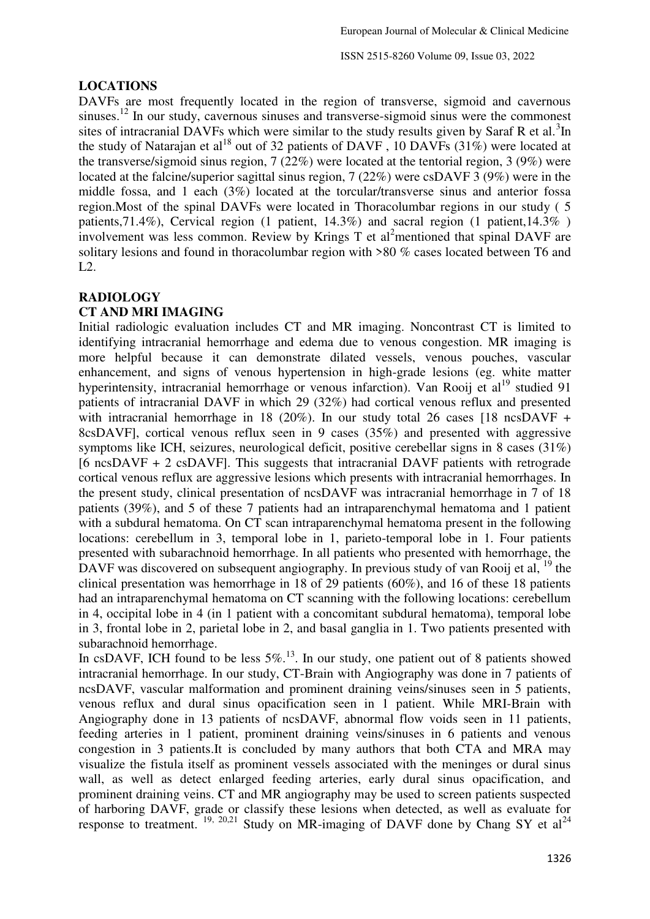### **LOCATIONS**

DAVFs are most frequently located in the region of transverse, sigmoid and cavernous sinuses.<sup>12</sup> In our study, cavernous sinuses and transverse-sigmoid sinus were the commonest sites of intracranial DAVFs which were similar to the study results given by Saraf R et al.<sup>3</sup>In the study of Natarajan et al<sup>18</sup> out of 32 patients of DAVF, 10 DAVFs  $(31\%)$  were located at the transverse/sigmoid sinus region, 7 (22%) were located at the tentorial region, 3 (9%) were located at the falcine/superior sagittal sinus region, 7 (22%) were csDAVF 3 (9%) were in the middle fossa, and 1 each (3%) located at the torcular/transverse sinus and anterior fossa region.Most of the spinal DAVFs were located in Thoracolumbar regions in our study ( 5 patients,71.4%), Cervical region (1 patient, 14.3%) and sacral region (1 patient,14.3% ) involvement was less common. Review by Krings T et al<sup>2</sup>mentioned that spinal DAVF are solitary lesions and found in thoracolumbar region with >80 % cases located between T6 and L2.

## **RADIOLOGY**

## **CT AND MRI IMAGING**

Initial radiologic evaluation includes CT and MR imaging. Noncontrast CT is limited to identifying intracranial hemorrhage and edema due to venous congestion. MR imaging is more helpful because it can demonstrate dilated vessels, venous pouches, vascular enhancement, and signs of venous hypertension in high-grade lesions (eg. white matter hyperintensity, intracranial hemorrhage or venous infarction). Van Rooij et al<sup>19</sup> studied 91 patients of intracranial DAVF in which 29 (32%) had cortical venous reflux and presented with intracranial hemorrhage in 18 (20%). In our study total 26 cases [18 ncsDAVF + 8csDAVF], cortical venous reflux seen in 9 cases (35%) and presented with aggressive symptoms like ICH, seizures, neurological deficit, positive cerebellar signs in 8 cases (31%) [6 ncsDAVF + 2 csDAVF]. This suggests that intracranial DAVF patients with retrograde cortical venous reflux are aggressive lesions which presents with intracranial hemorrhages. In the present study, clinical presentation of ncsDAVF was intracranial hemorrhage in 7 of 18 patients (39%), and 5 of these 7 patients had an intraparenchymal hematoma and 1 patient with a subdural hematoma. On CT scan intraparenchymal hematoma present in the following locations: cerebellum in 3, temporal lobe in 1, parieto-temporal lobe in 1. Four patients presented with subarachnoid hemorrhage. In all patients who presented with hemorrhage, the DAVF was discovered on subsequent angiography. In previous study of van Rooij et al, <sup>19</sup> the clinical presentation was hemorrhage in 18 of 29 patients (60%), and 16 of these 18 patients had an intraparenchymal hematoma on CT scanning with the following locations: cerebellum in 4, occipital lobe in 4 (in 1 patient with a concomitant subdural hematoma), temporal lobe in 3, frontal lobe in 2, parietal lobe in 2, and basal ganglia in 1. Two patients presented with subarachnoid hemorrhage.

In csDAVF, ICH found to be less  $5\%$ .<sup>13</sup>. In our study, one patient out of 8 patients showed intracranial hemorrhage. In our study, CT-Brain with Angiography was done in 7 patients of ncsDAVF, vascular malformation and prominent draining veins/sinuses seen in 5 patients, venous reflux and dural sinus opacification seen in 1 patient. While MRI-Brain with Angiography done in 13 patients of ncsDAVF, abnormal flow voids seen in 11 patients, feeding arteries in 1 patient, prominent draining veins/sinuses in 6 patients and venous congestion in 3 patients.It is concluded by many authors that both CTA and MRA may visualize the fistula itself as prominent vessels associated with the meninges or dural sinus wall, as well as detect enlarged feeding arteries, early dural sinus opacification, and prominent draining veins. CT and MR angiography may be used to screen patients suspected of harboring DAVF, grade or classify these lesions when detected, as well as evaluate for response to treatment.  $19, 20,21$  Study on MR-imaging of DAVF done by Chang SY et al<sup>24</sup>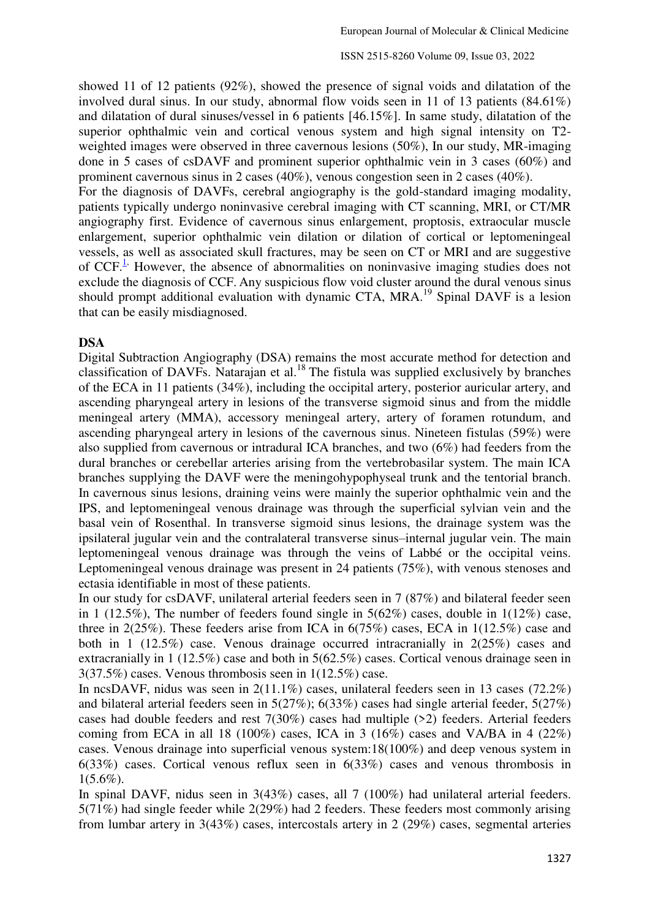showed 11 of 12 patients (92%), showed the presence of signal voids and dilatation of the involved dural sinus. In our study, abnormal flow voids seen in 11 of 13 patients (84.61%) and dilatation of dural sinuses/vessel in 6 patients [46.15%]. In same study, dilatation of the superior ophthalmic vein and cortical venous system and high signal intensity on T2 weighted images were observed in three cavernous lesions (50%), In our study, MR-imaging done in 5 cases of csDAVF and prominent superior ophthalmic vein in 3 cases (60%) and prominent cavernous sinus in 2 cases (40%), venous congestion seen in 2 cases (40%).

For the diagnosis of DAVFs, cerebral angiography is the gold-standard imaging modality, patients typically undergo noninvasive cerebral imaging with CT scanning, MRI, or CT/MR angiography first. Evidence of cavernous sinus enlargement, proptosis, extraocular muscle enlargement, superior ophthalmic vein dilation or dilation of cortical or leptomeningeal vessels, as well as associated skull fractures, may be seen on CT or MRI and are suggestive of CCF. $<sup>1</sup>$  However, the absence of abnormalities on noninvasive imaging studies does not</sup> exclude the diagnosis of CCF. Any suspicious flow void cluster around the dural venous sinus should prompt additional evaluation with dynamic CTA, MRA.<sup>19</sup> Spinal DAVF is a lesion that can be easily misdiagnosed.

### **DSA**

Digital Subtraction Angiography (DSA) remains the most accurate method for detection and classification of DAVFs. Natarajan et al.<sup>18</sup> The fistula was supplied exclusively by branches of the ECA in 11 patients (34%), including the occipital artery, posterior auricular artery, and ascending pharyngeal artery in lesions of the transverse sigmoid sinus and from the middle meningeal artery (MMA), accessory meningeal artery, artery of foramen rotundum, and ascending pharyngeal artery in lesions of the cavernous sinus. Nineteen fistulas (59%) were also supplied from cavernous or intradural ICA branches, and two (6%) had feeders from the dural branches or cerebellar arteries arising from the vertebrobasilar system. The main ICA branches supplying the DAVF were the meningohypophyseal trunk and the tentorial branch. In cavernous sinus lesions, draining veins were mainly the superior ophthalmic vein and the IPS, and leptomeningeal venous drainage was through the superficial sylvian vein and the basal vein of Rosenthal. In transverse sigmoid sinus lesions, the drainage system was the ipsilateral jugular vein and the contralateral transverse sinus–internal jugular vein. The main leptomeningeal venous drainage was through the veins of Labbé or the occipital veins. Leptomeningeal venous drainage was present in 24 patients (75%), with venous stenoses and ectasia identifiable in most of these patients.

In our study for csDAVF, unilateral arterial feeders seen in 7 (87%) and bilateral feeder seen in 1 (12.5%), The number of feeders found single in  $5(62%)$  cases, double in  $1(12%)$  case, three in 2(25%). These feeders arise from ICA in 6(75%) cases, ECA in 1(12.5%) case and both in 1 (12.5%) case. Venous drainage occurred intracranially in 2(25%) cases and extracranially in 1 (12.5%) case and both in 5(62.5%) cases. Cortical venous drainage seen in 3(37.5%) cases. Venous thrombosis seen in 1(12.5%) case.

In ncsDAVF, nidus was seen in 2(11.1%) cases, unilateral feeders seen in 13 cases (72.2%) and bilateral arterial feeders seen in 5(27%); 6(33%) cases had single arterial feeder, 5(27%) cases had double feeders and rest 7(30%) cases had multiple (>2) feeders. Arterial feeders coming from ECA in all 18 (100%) cases, ICA in 3 (16%) cases and VA/BA in 4 (22%) cases. Venous drainage into superficial venous system:18(100%) and deep venous system in 6(33%) cases. Cortical venous reflux seen in 6(33%) cases and venous thrombosis in  $1(5.6\%)$ .

In spinal DAVF, nidus seen in 3(43%) cases, all 7 (100%) had unilateral arterial feeders. 5(71%) had single feeder while 2(29%) had 2 feeders. These feeders most commonly arising from lumbar artery in 3(43%) cases, intercostals artery in 2 (29%) cases, segmental arteries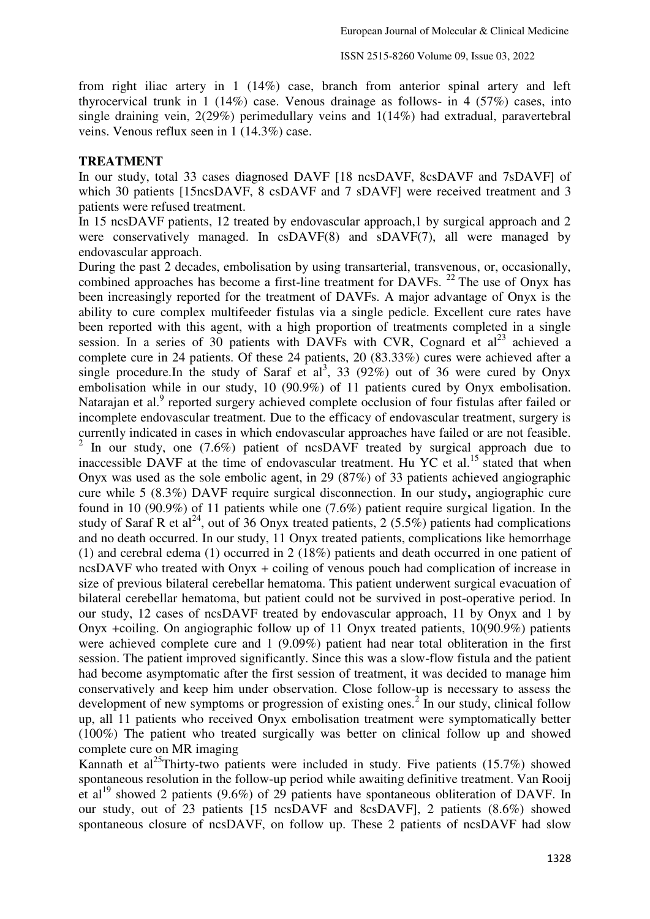from right iliac artery in 1 (14%) case, branch from anterior spinal artery and left thyrocervical trunk in 1 (14%) case. Venous drainage as follows- in 4 (57%) cases, into single draining vein, 2(29%) perimedullary veins and 1(14%) had extradual, paravertebral veins. Venous reflux seen in 1 (14.3%) case.

#### **TREATMENT**

In our study, total 33 cases diagnosed DAVF [18 ncsDAVF, 8csDAVF and 7sDAVF] of which 30 patients [15ncsDAVF, 8 csDAVF and 7 sDAVF] were received treatment and 3 patients were refused treatment.

In 15 ncsDAVF patients, 12 treated by endovascular approach,1 by surgical approach and 2 were conservatively managed. In csDAVF(8) and sDAVF(7), all were managed by endovascular approach.

During the past 2 decades, embolisation by using transarterial, transvenous, or, occasionally, combined approaches has become a first-line treatment for DAVFs. <sup>22</sup> The use of Onyx has been increasingly reported for the treatment of DAVFs. A major advantage of Onyx is the ability to cure complex multifeeder fistulas via a single pedicle. Excellent cure rates have been reported with this agent, with a high proportion of treatments completed in a single session. In a series of 30 patients with DAVFs with CVR, Cognard et  $al<sup>23</sup>$  achieved a complete cure in 24 patients. Of these 24 patients, 20 (83.33%) cures were achieved after a single procedure. In the study of Saraf et al<sup>3</sup>, 33 (92%) out of 36 were cured by Onyx embolisation while in our study, 10 (90.9%) of 11 patients cured by Onyx embolisation. Natarajan et al.<sup>9</sup> reported surgery achieved complete occlusion of four fistulas after failed or incomplete endovascular treatment. Due to the efficacy of endovascular treatment, surgery is currently indicated in cases in which endovascular approaches have failed or are not feasible. <sup>2</sup> In our study, one (7.6%) patient of ncsDAVF treated by surgical approach due to inaccessible DAVF at the time of endovascular treatment. Hu YC et al.<sup>15</sup> stated that when Onyx was used as the sole embolic agent, in 29 (87%) of 33 patients achieved angiographic cure while 5 (8.3%) DAVF require surgical disconnection. In our study**,** angiographic cure found in 10 (90.9%) of 11 patients while one (7.6%) patient require surgical ligation. In the study of Saraf R et al<sup>24</sup>, out of 36 Onyx treated patients, 2 (5.5%) patients had complications and no death occurred. In our study, 11 Onyx treated patients, complications like hemorrhage (1) and cerebral edema (1) occurred in 2 (18%) patients and death occurred in one patient of ncsDAVF who treated with Onyx + coiling of venous pouch had complication of increase in size of previous bilateral cerebellar hematoma. This patient underwent surgical evacuation of bilateral cerebellar hematoma, but patient could not be survived in post-operative period. In our study, 12 cases of ncsDAVF treated by endovascular approach, 11 by Onyx and 1 by Onyx +coiling. On angiographic follow up of 11 Onyx treated patients, 10(90.9%) patients were achieved complete cure and 1 (9.09%) patient had near total obliteration in the first session. The patient improved significantly. Since this was a slow-flow fistula and the patient had become asymptomatic after the first session of treatment, it was decided to manage him conservatively and keep him under observation. Close follow-up is necessary to assess the development of new symptoms or progression of existing ones.<sup>2</sup> In our study, clinical follow up, all 11 patients who received Onyx embolisation treatment were symptomatically better (100%) The patient who treated surgically was better on clinical follow up and showed complete cure on MR imaging

Kannath et al<sup>25</sup>Thirty-two patients were included in study. Five patients  $(15.7%)$  showed spontaneous resolution in the follow-up period while awaiting definitive treatment. Van Rooij et al<sup>19</sup> showed 2 patients (9.6%) of  $29$  patients have spontaneous obliteration of DAVF. In our study, out of 23 patients [15 ncsDAVF and 8csDAVF], 2 patients (8.6%) showed spontaneous closure of ncsDAVF, on follow up. These 2 patients of ncsDAVF had slow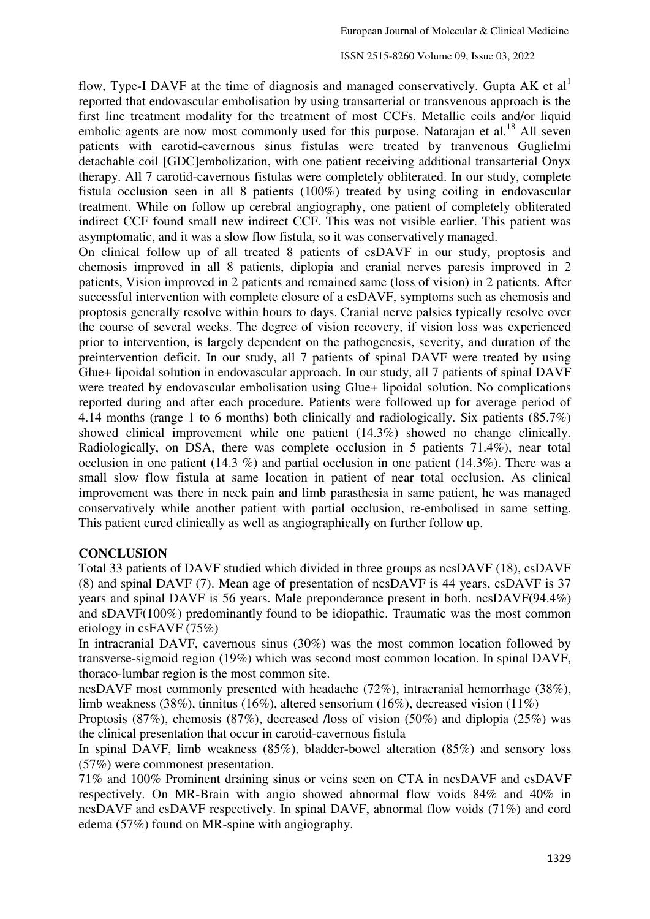flow, Type-I DAVF at the time of diagnosis and managed conservatively. Gupta AK et al reported that endovascular embolisation by using transarterial or transvenous approach is the first line treatment modality for the treatment of most CCFs. Metallic coils and/or liquid embolic agents are now most commonly used for this purpose. Natarajan et al.<sup>18</sup> All seven patients with carotid-cavernous sinus fistulas were treated by tranvenous Guglielmi detachable coil [GDC]embolization, with one patient receiving additional transarterial Onyx therapy. All 7 carotid-cavernous fistulas were completely obliterated. In our study, complete fistula occlusion seen in all 8 patients (100%) treated by using coiling in endovascular treatment. While on follow up cerebral angiography, one patient of completely obliterated indirect CCF found small new indirect CCF. This was not visible earlier. This patient was asymptomatic, and it was a slow flow fistula, so it was conservatively managed.

On clinical follow up of all treated 8 patients of csDAVF in our study, proptosis and chemosis improved in all 8 patients, diplopia and cranial nerves paresis improved in 2 patients, Vision improved in 2 patients and remained same (loss of vision) in 2 patients. After successful intervention with complete closure of a csDAVF, symptoms such as chemosis and proptosis generally resolve within hours to days. Cranial nerve palsies typically resolve over the course of several weeks. The degree of vision recovery, if vision loss was experienced prior to intervention, is largely dependent on the pathogenesis, severity, and duration of the preintervention deficit. In our study, all 7 patients of spinal DAVF were treated by using Glue+ lipoidal solution in endovascular approach. In our study, all 7 patients of spinal DAVF were treated by endovascular embolisation using Glue+ lipoidal solution. No complications reported during and after each procedure. Patients were followed up for average period of 4.14 months (range 1 to 6 months) both clinically and radiologically. Six patients (85.7%) showed clinical improvement while one patient (14.3%) showed no change clinically. Radiologically, on DSA, there was complete occlusion in 5 patients 71.4%), near total occlusion in one patient (14.3 %) and partial occlusion in one patient (14.3%). There was a small slow flow fistula at same location in patient of near total occlusion. As clinical improvement was there in neck pain and limb parasthesia in same patient, he was managed conservatively while another patient with partial occlusion, re-embolised in same setting. This patient cured clinically as well as angiographically on further follow up.

### **CONCLUSION**

Total 33 patients of DAVF studied which divided in three groups as ncsDAVF (18), csDAVF (8) and spinal DAVF (7). Mean age of presentation of ncsDAVF is 44 years, csDAVF is 37 years and spinal DAVF is 56 years. Male preponderance present in both. ncsDAVF(94.4%) and sDAVF(100%) predominantly found to be idiopathic. Traumatic was the most common etiology in csFAVF (75%)

In intracranial DAVF, cavernous sinus (30%) was the most common location followed by transverse-sigmoid region (19%) which was second most common location. In spinal DAVF, thoraco-lumbar region is the most common site.

ncsDAVF most commonly presented with headache (72%), intracranial hemorrhage (38%), limb weakness (38%), tinnitus (16%), altered sensorium (16%), decreased vision (11%)

Proptosis (87%), chemosis (87%), decreased /loss of vision (50%) and diplopia (25%) was the clinical presentation that occur in carotid-cavernous fistula

In spinal DAVF, limb weakness (85%), bladder-bowel alteration (85%) and sensory loss (57%) were commonest presentation.

71% and 100% Prominent draining sinus or veins seen on CTA in ncsDAVF and csDAVF respectively. On MR-Brain with angio showed abnormal flow voids 84% and 40% in ncsDAVF and csDAVF respectively. In spinal DAVF, abnormal flow voids (71%) and cord edema (57%) found on MR-spine with angiography.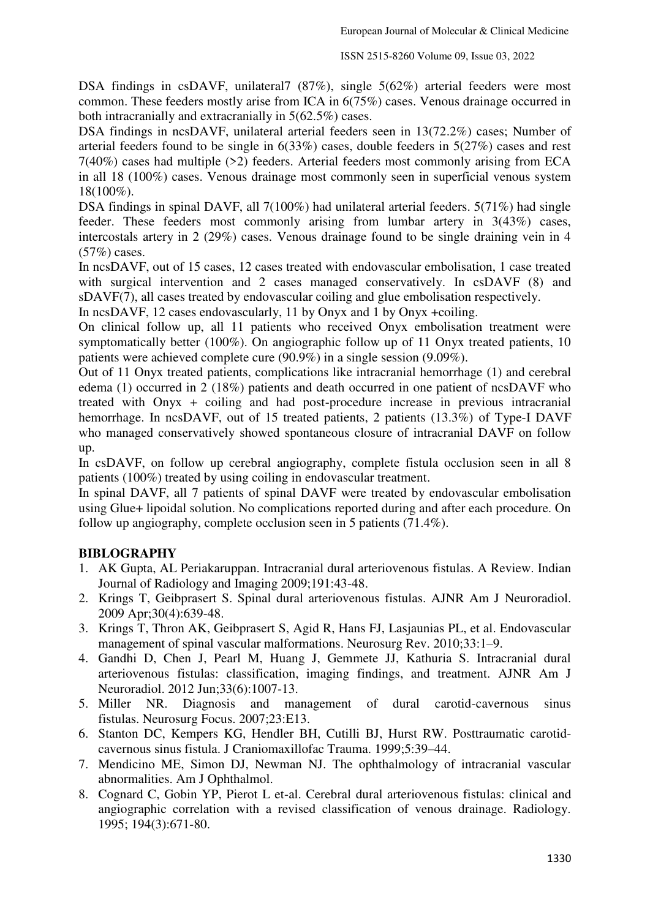DSA findings in csDAVF, unilateral7 (87%), single 5(62%) arterial feeders were most common. These feeders mostly arise from ICA in 6(75%) cases. Venous drainage occurred in both intracranially and extracranially in 5(62.5%) cases.

DSA findings in ncsDAVF, unilateral arterial feeders seen in 13(72.2%) cases; Number of arterial feeders found to be single in 6(33%) cases, double feeders in 5(27%) cases and rest 7(40%) cases had multiple (>2) feeders. Arterial feeders most commonly arising from ECA in all 18 (100%) cases. Venous drainage most commonly seen in superficial venous system 18(100%).

DSA findings in spinal DAVF, all 7(100%) had unilateral arterial feeders. 5(71%) had single feeder. These feeders most commonly arising from lumbar artery in 3(43%) cases, intercostals artery in 2 (29%) cases. Venous drainage found to be single draining vein in 4 (57%) cases.

In ncsDAVF, out of 15 cases, 12 cases treated with endovascular embolisation, 1 case treated with surgical intervention and 2 cases managed conservatively. In csDAVF (8) and sDAVF(7), all cases treated by endovascular coiling and glue embolisation respectively.

In ncsDAVF, 12 cases endovascularly, 11 by Onyx and 1 by Onyx +coiling.

On clinical follow up, all 11 patients who received Onyx embolisation treatment were symptomatically better (100%). On angiographic follow up of 11 Onyx treated patients, 10 patients were achieved complete cure (90.9%) in a single session (9.09%).

Out of 11 Onyx treated patients, complications like intracranial hemorrhage (1) and cerebral edema (1) occurred in 2 (18%) patients and death occurred in one patient of ncsDAVF who treated with Onyx + coiling and had post-procedure increase in previous intracranial hemorrhage. In ncsDAVF, out of 15 treated patients, 2 patients (13.3%) of Type-I DAVF who managed conservatively showed spontaneous closure of intracranial DAVF on follow up.

In csDAVF, on follow up cerebral angiography, complete fistula occlusion seen in all 8 patients (100%) treated by using coiling in endovascular treatment.

In spinal DAVF, all 7 patients of spinal DAVF were treated by endovascular embolisation using Glue+ lipoidal solution. No complications reported during and after each procedure. On follow up angiography, complete occlusion seen in 5 patients (71.4%).

### **BIBLOGRAPHY**

- 1. AK Gupta, AL Periakaruppan. Intracranial dural arteriovenous fistulas. A Review. Indian Journal of Radiology and Imaging 2009;191:43-48.
- 2. Krings T, Geibprasert S. Spinal dural arteriovenous fistulas. AJNR Am J Neuroradiol. 2009 Apr;30(4):639-48.
- 3. Krings T, Thron AK, Geibprasert S, Agid R, Hans FJ, Lasjaunias PL, et al. Endovascular management of spinal vascular malformations. Neurosurg Rev. 2010;33:1–9.
- 4. Gandhi D, Chen J, Pearl M, Huang J, Gemmete JJ, Kathuria S. Intracranial dural arteriovenous fistulas: classification, imaging findings, and treatment. AJNR Am J Neuroradiol. 2012 Jun;33(6):1007-13.
- 5. Miller NR. Diagnosis and management of dural carotid-cavernous sinus fistulas. Neurosurg Focus. 2007;23:E13.
- 6. Stanton DC, Kempers KG, Hendler BH, Cutilli BJ, Hurst RW. Posttraumatic carotidcavernous sinus fistula. J Craniomaxillofac Trauma. 1999;5:39–44.
- 7. Mendicino ME, Simon DJ, Newman NJ. The ophthalmology of intracranial vascular abnormalities. Am J Ophthalmol.
- 8. Cognard C, Gobin YP, Pierot L et-al. Cerebral dural arteriovenous fistulas: clinical and angiographic correlation with a revised classification of venous drainage. Radiology. 1995; 194(3):671-80.